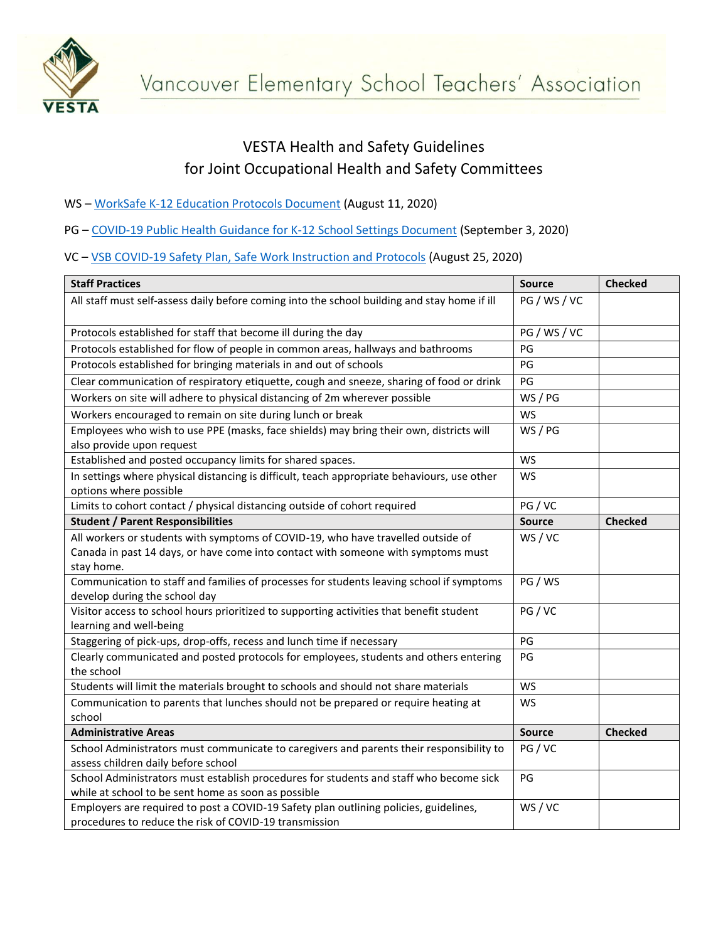

## VESTA Health and Safety Guidelines for Joint Occupational Health and Safety Committees

- WS [WorkSafe K-12 Education Protocols Document](https://www.worksafebc.com/en/about-us/covid-19-updates/covid-19-returning-safe-operation/education) (August 11, 2020)
- PG [COVID-19 Public Health Guidance for K-12 School Settings Document](https://www2.gov.bc.ca/assets/gov/education/administration/kindergarten-to-grade-12/safe-caring-orderly/k-12-covid-19-health-safety-guidlines.pdf) (September 3, 2020)
- VC [VSB COVID-19 Safety Plan, Safe Work Instruction and Protocols](https://www.vsb.bc.ca/News/Documents/SafetyPlanProtocols.pdf) (August 25, 2020)

| <b>Staff Practices</b>                                                                                                    | <b>Source</b> | <b>Checked</b> |
|---------------------------------------------------------------------------------------------------------------------------|---------------|----------------|
| All staff must self-assess daily before coming into the school building and stay home if ill                              | PG / WS / VC  |                |
| Protocols established for staff that become ill during the day                                                            | PG / WS / VC  |                |
| Protocols established for flow of people in common areas, hallways and bathrooms                                          | PG            |                |
| Protocols established for bringing materials in and out of schools                                                        | PG            |                |
| Clear communication of respiratory etiquette, cough and sneeze, sharing of food or drink                                  | PG            |                |
| Workers on site will adhere to physical distancing of 2m wherever possible                                                | WS / PG       |                |
| Workers encouraged to remain on site during lunch or break                                                                | <b>WS</b>     |                |
| Employees who wish to use PPE (masks, face shields) may bring their own, districts will                                   | WS / PG       |                |
| also provide upon request                                                                                                 |               |                |
| Established and posted occupancy limits for shared spaces.                                                                | <b>WS</b>     |                |
| In settings where physical distancing is difficult, teach appropriate behaviours, use other                               | WS            |                |
| options where possible                                                                                                    |               |                |
| Limits to cohort contact / physical distancing outside of cohort required                                                 | PG/VC         |                |
| <b>Student / Parent Responsibilities</b>                                                                                  | <b>Source</b> | <b>Checked</b> |
| All workers or students with symptoms of COVID-19, who have travelled outside of                                          | WS/VC         |                |
| Canada in past 14 days, or have come into contact with someone with symptoms must                                         |               |                |
| stay home.                                                                                                                |               |                |
| Communication to staff and families of processes for students leaving school if symptoms                                  | PG / WS       |                |
| develop during the school day<br>Visitor access to school hours prioritized to supporting activities that benefit student | PG/VC         |                |
| learning and well-being                                                                                                   |               |                |
| Staggering of pick-ups, drop-offs, recess and lunch time if necessary                                                     | PG            |                |
| Clearly communicated and posted protocols for employees, students and others entering<br>the school                       | PG            |                |
| Students will limit the materials brought to schools and should not share materials                                       | <b>WS</b>     |                |
| Communication to parents that lunches should not be prepared or require heating at                                        | <b>WS</b>     |                |
| school                                                                                                                    |               |                |
| <b>Administrative Areas</b>                                                                                               | <b>Source</b> | <b>Checked</b> |
| School Administrators must communicate to caregivers and parents their responsibility to                                  | PG/VC         |                |
| assess children daily before school                                                                                       |               |                |
| School Administrators must establish procedures for students and staff who become sick                                    | PG            |                |
| while at school to be sent home as soon as possible                                                                       |               |                |
| Employers are required to post a COVID-19 Safety plan outlining policies, guidelines,                                     | WS/VC         |                |
| procedures to reduce the risk of COVID-19 transmission                                                                    |               |                |